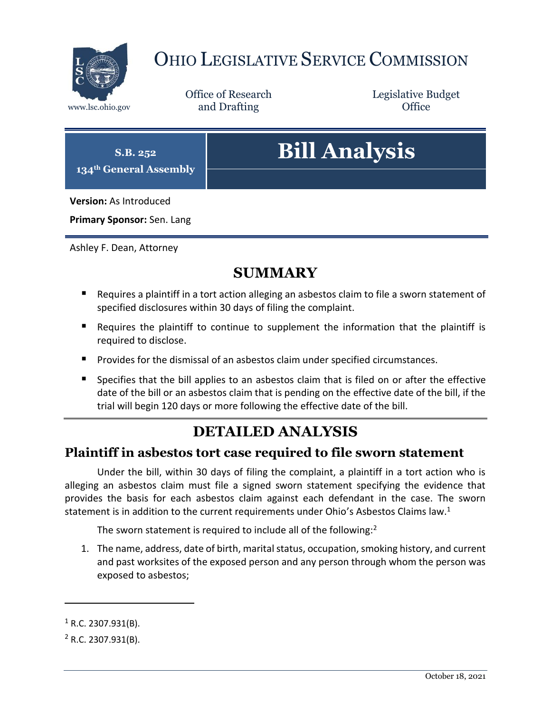

# OHIO LEGISLATIVE SERVICE COMMISSION

Office of Research www.lsc.ohio.gov **and Drafting Office** 

Legislative Budget

# **S.B. 252 134th General Assembly Bill Analysis Version:** As Introduced **Primary Sponsor:** Sen. Lang

Ashley F. Dean, Attorney

### **SUMMARY**

- Requires a plaintiff in a tort action alleging an asbestos claim to file a sworn statement of specified disclosures within 30 days of filing the complaint.
- Requires the plaintiff to continue to supplement the information that the plaintiff is required to disclose.
- **Provides for the dismissal of an asbestos claim under specified circumstances.**
- Specifies that the bill applies to an asbestos claim that is filed on or after the effective date of the bill or an asbestos claim that is pending on the effective date of the bill, if the trial will begin 120 days or more following the effective date of the bill.

## **DETAILED ANALYSIS**

#### **Plaintiff in asbestos tort case required to file sworn statement**

Under the bill, within 30 days of filing the complaint, a plaintiff in a tort action who is alleging an asbestos claim must file a signed sworn statement specifying the evidence that provides the basis for each asbestos claim against each defendant in the case. The sworn statement is in addition to the current requirements under Ohio's Asbestos Claims law.<sup>1</sup>

The sworn statement is required to include all of the following:<sup>2</sup>

1. The name, address, date of birth, marital status, occupation, smoking history, and current and past worksites of the exposed person and any person through whom the person was exposed to asbestos;

 $\overline{a}$ 

 $1$  R.C. 2307.931(B).

 $2$  R.C. 2307.931(B).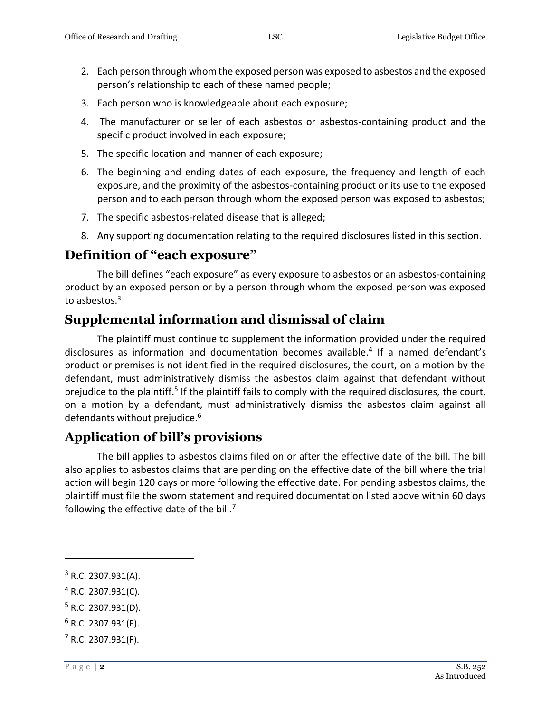- 2. Each person through whom the exposed person was exposed to asbestos and the exposed person's relationship to each of these named people;
- 3. Each person who is knowledgeable about each exposure;
- 4. The manufacturer or seller of each asbestos or asbestos-containing product and the specific product involved in each exposure;
- 5. The specific location and manner of each exposure;
- 6. The beginning and ending dates of each exposure, the frequency and length of each exposure, and the proximity of the asbestos-containing product or its use to the exposed person and to each person through whom the exposed person was exposed to asbestos;
- 7. The specific asbestos-related disease that is alleged;
- 8. Any supporting documentation relating to the required disclosures listed in this section.

#### **Definition of "each exposure"**

The bill defines "each exposure" as every exposure to asbestos or an asbestos-containing product by an exposed person or by a person through whom the exposed person was exposed to asbestos.<sup>3</sup>

#### **Supplemental information and dismissal of claim**

The plaintiff must continue to supplement the information provided under the required disclosures as information and documentation becomes available.<sup>4</sup> If a named defendant's product or premises is not identified in the required disclosures, the court, on a motion by the defendant, must administratively dismiss the asbestos claim against that defendant without prejudice to the plaintiff.<sup>5</sup> If the plaintiff fails to comply with the required disclosures, the court, on a motion by a defendant, must administratively dismiss the asbestos claim against all defendants without prejudice.<sup>6</sup>

#### **Application of bill's provisions**

The bill applies to asbestos claims filed on or after the effective date of the bill. The bill also applies to asbestos claims that are pending on the effective date of the bill where the trial action will begin 120 days or more following the effective date. For pending asbestos claims, the plaintiff must file the sworn statement and required documentation listed above within 60 days following the effective date of the bill.<sup>7</sup>

 $\overline{a}$ 

- <sup>4</sup> R.C. 2307.931(C).
- $5$  R.C. 2307.931(D).
- $6$  R.C. 2307.931(E).
- $<sup>7</sup>$  R.C. 2307.931(F).</sup>

<sup>3</sup> R.C. 2307.931(A).